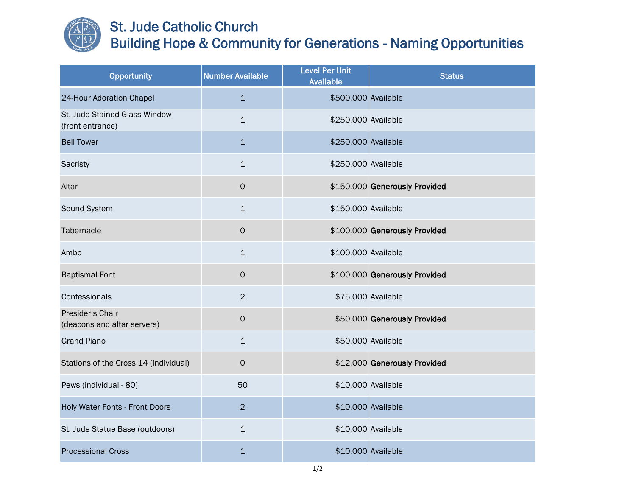

## St. Jude Catholic Church Building Hope & Community for Generations - Naming Opportunities

| Opportunity                                       | <b>Number Available</b> | <b>Level Per Unit</b><br><b>Available</b> | <b>Status</b>                 |
|---------------------------------------------------|-------------------------|-------------------------------------------|-------------------------------|
| 24-Hour Adoration Chapel                          | $\mathbf{1}$            | \$500,000 Available                       |                               |
| St. Jude Stained Glass Window<br>(front entrance) | $\mathbf{1}$            | \$250,000 Available                       |                               |
| <b>Bell Tower</b>                                 | $\mathbf{1}$            | \$250,000 Available                       |                               |
| Sacristy                                          | $\mathbf{1}$            | \$250,000 Available                       |                               |
| Altar                                             | $\mathsf O$             |                                           | \$150,000 Generously Provided |
| Sound System                                      | $\mathbf{1}$            | \$150,000 Available                       |                               |
| Tabernacle                                        | $\mathsf{O}\xspace$     |                                           | \$100,000 Generously Provided |
| Ambo                                              | $\mathbf{1}$            | \$100,000 Available                       |                               |
| <b>Baptismal Font</b>                             | $\mathsf O$             |                                           | \$100,000 Generously Provided |
| Confessionals                                     | $\overline{2}$          |                                           | \$75,000 Available            |
| Presider's Chair<br>(deacons and altar servers)   | $\mathsf{O}\xspace$     |                                           | \$50,000 Generously Provided  |
| <b>Grand Piano</b>                                | $\mathbf{1}$            |                                           | \$50,000 Available            |
| Stations of the Cross 14 (individual)             | $\mathbf{O}$            |                                           | \$12,000 Generously Provided  |
| Pews (individual - 80)                            | 50                      |                                           | \$10,000 Available            |
| Holy Water Fonts - Front Doors                    | $\overline{2}$          |                                           | \$10,000 Available            |
| St. Jude Statue Base (outdoors)                   | $\mathbf{1}$            |                                           | \$10,000 Available            |
| <b>Processional Cross</b>                         | $\mathbf{1}$            |                                           | \$10,000 Available            |